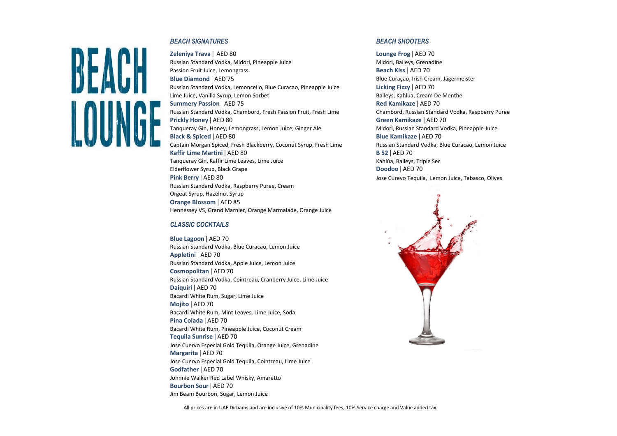## BEACH

LOUNGE

Russian Standard Vodka, Midori, Pineapple Juice Midori, Annual Midori, Baileys, Grenadine Passion Fruit Juice, Lemongrass **Beac[h K](https://www.google.ae/imgres?imgurl=http://www.cronicanorte.es/wp-content/uploads/2013/02/combinados-cubatas-alcohol-beber-e1369925945330.jpg&imgrefurl=http://www.cronicanorte.es/el-abuso-de-alcohol-acelera-la-perdida-de-memoria/55095&docid=Y_TzCCRViK49BM&tbnid=F0C2hps1ocaaNM:&vet=10ahUKEwjrlvbgj_rUAhVKaVAKHWY6CYsQMwglKAMwAw..i&w=1024&h=576&bih=806&biw=1440&q=martini colorsful drinks&ved=0ahUKEwjrlvbgj_rUAhVKaVAKHWY6CYsQMwglKAMwAw&iact=mrc&uact=8)iss** | AED 70 **[Blu](https://www.google.ae/imgres?imgurl=http://www.cronicanorte.es/wp-content/uploads/2013/02/combinados-cubatas-alcohol-beber-e1369925945330.jpg&imgrefurl=http://www.cronicanorte.es/el-abuso-de-alcohol-acelera-la-perdida-de-memoria/55095&docid=Y_TzCCRViK49BM&tbnid=F0C2hps1ocaaNM:&vet=10ahUKEwjrlvbgj_rUAhVKaVAKHWY6CYsQMwglKAMwAw..i&w=1024&h=576&bih=806&biw=1440&q=martini colorsful drinks&ved=0ahUKEwjrlvbgj_rUAhVKaVAKHWY6CYsQMwglKAMwAw&iact=mrc&uact=8)e Diamond** | AED 75 **Blue [Cura](https://www.google.ae/imgres?imgurl=http://www.cronicanorte.es/wp-content/uploads/2013/02/combinados-cubatas-alcohol-beber-e1369925945330.jpg&imgrefurl=http://www.cronicanorte.es/el-abuso-de-alcohol-acelera-la-perdida-de-memoria/55095&docid=Y_TzCCRViK49BM&tbnid=F0C2hps1ocaaNM:&vet=10ahUKEwjrlvbgj_rUAhVKaVAKHWY6CYsQMwglKAMwAw..i&w=1024&h=576&bih=806&biw=1440&q=martini colorsful drinks&ved=0ahUKEwjrlvbgj_rUAhVKaVAKHWY6CYsQMwglKAMwAw&iact=mrc&uact=8)çao, Irish Cream, Jägermeister Blue Curaçao, Irish Cream, Jägermeister** Russian Standard Vodka, Lemoncello, Blue Curacao, Pineapple Juice **[Lic](https://www.google.ae/imgres?imgurl=http://www.cronicanorte.es/wp-content/uploads/2013/02/combinados-cubatas-alcohol-beber-e1369925945330.jpg&imgrefurl=http://www.cronicanorte.es/el-abuso-de-alcohol-acelera-la-perdida-de-memoria/55095&docid=Y_TzCCRViK49BM&tbnid=F0C2hps1ocaaNM:&vet=10ahUKEwjrlvbgj_rUAhVKaVAKHWY6CYsQMwglKAMwAw..i&w=1024&h=576&bih=806&biw=1440&q=martini colorsful drinks&ved=0ahUKEwjrlvbgj_rUAhVKaVAKHWY6CYsQMwglKAMwAw&iact=mrc&uact=8)ki[ng F](https://www.google.ae/imgres?imgurl=http://www.cronicanorte.es/wp-content/uploads/2013/02/combinados-cubatas-alcohol-beber-e1369925945330.jpg&imgrefurl=http://www.cronicanorte.es/el-abuso-de-alcohol-acelera-la-perdida-de-memoria/55095&docid=Y_TzCCRViK49BM&tbnid=F0C2hps1ocaaNM:&vet=10ahUKEwjrlvbgj_rUAhVKaVAKHWY6CYsQMwglKAMwAw..i&w=1024&h=576&bih=806&biw=1440&q=martini colorsful drinks&ved=0ahUKEwjrlvbgj_rUAhVKaVAKHWY6CYsQMwglKAMwAw&iact=mrc&uact=8)izzy** | AED 70 Lime Juice, Vanilla Syrup, Lemon Sorbet [Ba](https://www.google.ae/imgres?imgurl=http://www.cronicanorte.es/wp-content/uploads/2013/02/combinados-cubatas-alcohol-beber-e1369925945330.jpg&imgrefurl=http://www.cronicanorte.es/el-abuso-de-alcohol-acelera-la-perdida-de-memoria/55095&docid=Y_TzCCRViK49BM&tbnid=F0C2hps1ocaaNM:&vet=10ahUKEwjrlvbgj_rUAhVKaVAKHWY6CYsQMwglKAMwAw..i&w=1024&h=576&bih=806&biw=1440&q=martini colorsful drinks&ved=0ahUKEwjrlvbgj_rUAhVKaVAKHWY6CYsQMwglKAMwAw&iact=mrc&uact=8)ile[ys, K](https://www.google.ae/imgres?imgurl=http://www.cronicanorte.es/wp-content/uploads/2013/02/combinados-cubatas-alcohol-beber-e1369925945330.jpg&imgrefurl=http://www.cronicanorte.es/el-abuso-de-alcohol-acelera-la-perdida-de-memoria/55095&docid=Y_TzCCRViK49BM&tbnid=F0C2hps1ocaaNM:&vet=10ahUKEwjrlvbgj_rUAhVKaVAKHWY6CYsQMwglKAMwAw..i&w=1024&h=576&bih=806&biw=1440&q=martini colorsful drinks&ved=0ahUKEwjrlvbgj_rUAhVKaVAKHWY6CYsQMwglKAMwAw&iact=mrc&uact=8)ahlua, Cream De Menthe **Summery Passion** | AED 75 **[Re](https://www.google.ae/imgres?imgurl=http://www.cronicanorte.es/wp-content/uploads/2013/02/combinados-cubatas-alcohol-beber-e1369925945330.jpg&imgrefurl=http://www.cronicanorte.es/el-abuso-de-alcohol-acelera-la-perdida-de-memoria/55095&docid=Y_TzCCRViK49BM&tbnid=F0C2hps1ocaaNM:&vet=10ahUKEwjrlvbgj_rUAhVKaVAKHWY6CYsQMwglKAMwAw..i&w=1024&h=576&bih=806&biw=1440&q=martini colorsful drinks&ved=0ahUKEwjrlvbgj_rUAhVKaVAKHWY6CYsQMwglKAMwAw&iact=mrc&uact=8)ad assignment and** *Read [Kam](https://www.google.ae/imgres?imgurl=http://www.cronicanorte.es/wp-content/uploads/2013/02/combinados-cubatas-alcohol-beber-e1369925945330.jpg&imgrefurl=http://www.cronicanorte.es/el-abuso-de-alcohol-acelera-la-perdida-de-memoria/55095&docid=Y_TzCCRViK49BM&tbnid=F0C2hps1ocaaNM:&vet=10ahUKEwjrlvbgj_rUAhVKaVAKHWY6CYsQMwglKAMwAw..i&w=1024&h=576&bih=806&biw=1440&q=martini colorsful drinks&ved=0ahUKEwjrlvbgj_rUAhVKaVAKHWY6CYsQMwglKAMwAw&iact=mrc&uact=8)ikaze* | AED 70 Russian Standard Vodka, Chambord, Fresh Passion Fruit, Fresh Lime [Ch](https://www.google.ae/imgres?imgurl=http://www.cronicanorte.es/wp-content/uploads/2013/02/combinados-cubatas-alcohol-beber-e1369925945330.jpg&imgrefurl=http://www.cronicanorte.es/el-abuso-de-alcohol-acelera-la-perdida-de-memoria/55095&docid=Y_TzCCRViK49BM&tbnid=F0C2hps1ocaaNM:&vet=10ahUKEwjrlvbgj_rUAhVKaVAKHWY6CYsQMwglKAMwAw..i&w=1024&h=576&bih=806&biw=1440&q=martini colorsful drinks&ved=0ahUKEwjrlvbgj_rUAhVKaVAKHWY6CYsQMwglKAMwAw&iact=mrc&uact=8)am[bor](https://www.google.ae/imgres?imgurl=http://www.cronicanorte.es/wp-content/uploads/2013/02/combinados-cubatas-alcohol-beber-e1369925945330.jpg&imgrefurl=http://www.cronicanorte.es/el-abuso-de-alcohol-acelera-la-perdida-de-memoria/55095&docid=Y_TzCCRViK49BM&tbnid=F0C2hps1ocaaNM:&vet=10ahUKEwjrlvbgj_rUAhVKaVAKHWY6CYsQMwglKAMwAw..i&w=1024&h=576&bih=806&biw=1440&q=martini colorsful drinks&ved=0ahUKEwjrlvbgj_rUAhVKaVAKHWY6CYsQMwglKAMwAw&iact=mrc&uact=8)d, Russian Standard Vodka, Raspberry Puree **Prickly Honey** | AED 80 **Green Kamikaze** | AED 70 Tangueray Gin, Honey, Lemongrass, Lemon Juice, Ginger Ale Midori, Russian Standard Vodka, Pineapple Juice **Black & Spiced** | AED 80 **Blue Kamikaze** | AED 70 Captain Morgan Spiced, Fresh Blackberry, Coconut Syrup, Fresh Lime [Ru](https://www.google.ae/imgres?imgurl=http://www.cronicanorte.es/wp-content/uploads/2013/02/combinados-cubatas-alcohol-beber-e1369925945330.jpg&imgrefurl=http://www.cronicanorte.es/el-abuso-de-alcohol-acelera-la-perdida-de-memoria/55095&docid=Y_TzCCRViK49BM&tbnid=F0C2hps1ocaaNM:&vet=10ahUKEwjrlvbgj_rUAhVKaVAKHWY6CYsQMwglKAMwAw..i&w=1024&h=576&bih=806&biw=1440&q=martini colorsful drinks&ved=0ahUKEwjrlvbgj_rUAhVKaVAKHWY6CYsQMwglKAMwAw&iact=mrc&uact=8)ssi[an S](https://www.google.ae/imgres?imgurl=http://www.cronicanorte.es/wp-content/uploads/2013/02/combinados-cubatas-alcohol-beber-e1369925945330.jpg&imgrefurl=http://www.cronicanorte.es/el-abuso-de-alcohol-acelera-la-perdida-de-memoria/55095&docid=Y_TzCCRViK49BM&tbnid=F0C2hps1ocaaNM:&vet=10ahUKEwjrlvbgj_rUAhVKaVAKHWY6CYsQMwglKAMwAw..i&w=1024&h=576&bih=806&biw=1440&q=martini colorsful drinks&ved=0ahUKEwjrlvbgj_rUAhVKaVAKHWY6CYsQMwglKAMwAw&iact=mrc&uact=8)tandard Vodka, Blue Curacao, Lemon Juice **Kaffir Lime Martini** | AED 80 **B 52** | [AE](https://www.google.ae/imgres?imgurl=http://www.cronicanorte.es/wp-content/uploads/2013/02/combinados-cubatas-alcohol-beber-e1369925945330.jpg&imgrefurl=http://www.cronicanorte.es/el-abuso-de-alcohol-acelera-la-perdida-de-memoria/55095&docid=Y_TzCCRViK49BM&tbnid=F0C2hps1ocaaNM:&vet=10ahUKEwjrlvbgj_rUAhVKaVAKHWY6CYsQMwglKAMwAw..i&w=1024&h=576&bih=806&biw=1440&q=martini colorsful drinks&ved=0ahUKEwjrlvbgj_rUAhVKaVAKHWY6CYsQMwglKAMwAw&iact=mrc&uact=8)D 70 Tangueray Gin, Kaffir Lime Leaves, Lime Juice New York New York Nahlúa, Baileys, Triple Sec Elderflower Syrup, Black Grape **Doodoo** | AED 70 **Pink Berry | AED 80 Discription Control of the Service Curevo Tequila, Lemon Juice, Tabasco, Olives** Russian Standard Vodka, Raspberry Puree, Cream Orgeat Syrup, Hazelnut Syrup **Orange Blossom** | AED 85

Hennessey VS, Grand Marnier, Orange Marmalade, Orange Juice

## *CLASSIC COCKTAILS*

**Blue Lagoon** | AED 70 Russian Standard Vodka, Blue Curacao, Lemon Juice **Appletini** | AED 70 Russian Standard Vodka, Apple Juice, Lemon Juice **Cosmopolitan** | AED 70 Russian Standard Vodka, Cointreau, Cranberry Juice, Lime Juice **Daiquiri** | AED 70 Bacardi White Rum, Sugar, Lime Juice **Mojito** | AED 70 Bacardi White Rum, Mint Leaves, Lime Juice, Soda **Pina Colada** | AED 70 Bacardi White Rum, Pineapple Juice, Coconut Cream **Tequila Sunrise |** AED 70 Jose Cuervo Especial Gold Tequila, Orange Juice, Grenadine **Margarita** | AED 70 Jose Cuervo Especial Gold Tequila, Cointreau, Lime Juice **Godfather** | AED 70 Johnnie Walker Red Label Whisky, Amaretto **Bourbon Sour** | AED 70 Jim Beam Bourbon, Sugar, Lemon Juice

## *BEACH SIGNATURES BEACH SHOOTERS*

**Zeleniya Trava** *|* AED 80 **Lounge Frog** | AED 70

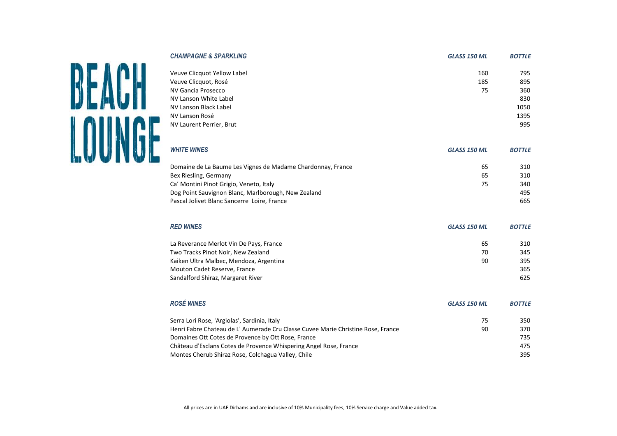| BEACH  |  |  |
|--------|--|--|
| LOUNGE |  |  |

| <b>CHAMPAGNE &amp; SPARKLING</b> | <b>GLASS 150 ML</b> | <b>BOTTLE</b> |
|----------------------------------|---------------------|---------------|
| Veuve Clicquot Yellow Label      | 160                 | 795           |
| Veuve Clicquot, Rosé             | 185                 | 895           |
| NV Gancia Prosecco               | 75                  | 360           |
| NV Lanson White Label            |                     | 830           |
| NV Lanson Black Label            |                     | 1050          |
| NV Lanson Rosé                   |                     | 1395          |
| NV Laurent Perrier, Brut         |                     | 995           |
|                                  |                     |               |

| <b>WHITE WINES</b>                                          | <b>GLASS 150 ML</b> | <b>BOTTLE</b> |
|-------------------------------------------------------------|---------------------|---------------|
| Domaine de La Baume Les Vignes de Madame Chardonnay, France | 65                  | 310           |
| Bex Riesling, Germany                                       | 65                  | 310           |
| Ca' Montini Pinot Grigio, Veneto, Italy                     | 75                  | 340           |
| Dog Point Sauvignon Blanc, Marlborough, New Zealand         |                     | 495           |
| Pascal Jolivet Blanc Sancerre Loire, France                 |                     | 665           |

| <b>RED WINES</b>                        | <b>GLASS 150 ML</b> | <b>BOTTLE</b> |
|-----------------------------------------|---------------------|---------------|
| La Reverance Merlot Vin De Pays, France | 65                  | 310           |
| Two Tracks Pinot Noir, New Zealand      | 70                  | 345           |
| Kaiken Ultra Malbec, Mendoza, Argentina | 90                  | 395           |
| Mouton Cadet Reserve, France            |                     | 365           |
| Sandalford Shiraz, Margaret River       |                     | 625           |

| <b>ROSÉ WINES</b>                                                               | <b>GLASS 150 ML</b> | <b>BOTTLE</b> |
|---------------------------------------------------------------------------------|---------------------|---------------|
| Serra Lori Rose, 'Argiolas', Sardinia, Italy                                    | 75                  | 350           |
| Henri Fabre Chateau de L'Aumerade Cru Classe Cuvee Marie Christine Rose, France | 90                  | 370           |
| Domaines Ott Cotes de Provence by Ott Rose, France                              |                     | 735           |
| Château d'Esclans Cotes de Provence Whispering Angel Rose, France               |                     | 475           |
| Montes Cherub Shiraz Rose, Colchagua Valley, Chile                              |                     | 395           |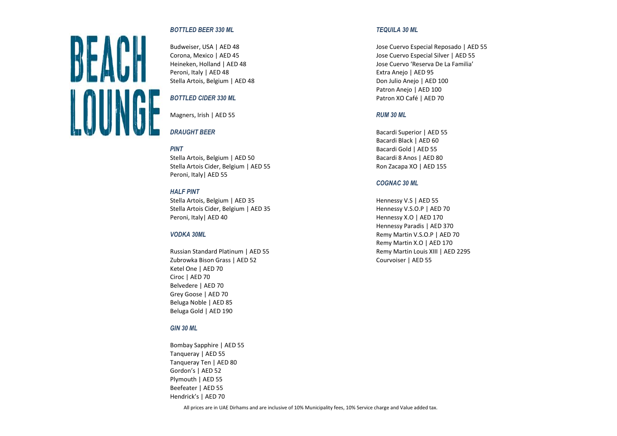# BEACH LOUNGF

## *BOTTLED BEER 330 ML TEQUILA 30 ML*

Peroni, Italy | AED 48 Extra Anejo | AED 95 Stella Artois, Belgium | AED 48 Don Julio Anejo | AED 100

Magners, Irish | AED 55 *RUM 30 ML* 

Stella Artois, Belgium | AED 50 Bacardi 8 Anos | AED 80 Stella Artois Cider, Belgium | AED 55 Ron Zacapa XO | AED 155 Peroni, Italy| AED 55

## *HALF PINT*

Stella Artois, Belgium | AED 35 Hennessy V.S | AED 55 Stella Artois Cider, Belgium | AED 35 Hennessy V.S.O.P | AED 70 Peroni, Italy| AED 40 **Hennessy X.O** | AED 170

Russian Standard Platinum | AED 55 Remy Martin Louis XIII | AED 2295 Zubrowka Bison Grass | AED 52 Courvoiser | AED 55 Ketel One | AED 70 Ciroc | AED 70 Belvedere | AED 70 Grey Goose | AED 70 Beluga Noble | AED 85 Beluga Gold | AED 190

## *GIN 30 ML*

Bombay Sapphire | AED 55 Tanqueray | AED 55 Tanqueray Ten | AED 80 Gordon's | AED 52 Plymouth | AED 55 Beefeater | AED 55 Hendrick's | AED 70

Budweiser, USA | AED 48 Jose Cuervo Especial Reposado | AED 55 Corona, Mexico | AED 45 Jose Cuervo Especial Silver | AED 55 Heineken, Holland | AED 48 Jose Cuervo 'Reserva De La Familia' Patron Anejo | AED 100 **BOTTLED CIDER 330 ML BOTTLED CIDER 330 ML** 

**DRAUGHT BEER** Bacardi Superior | AED 55 Bacardi Black | AED 60 **PINT** Bacardi Gold | AED 55

## *COGNAC 30 ML*

Hennessy Paradis | AED 370 **VODKA 30ML VODKA 30ML Remy Martin V.S.O.P** | AED 70 Remy Martin X.O | AED 170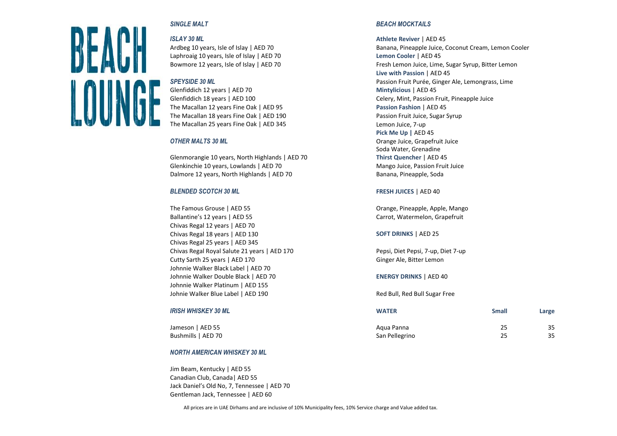# BEACH **I NING**

Laphroaig 10 years, Isle of Islay | AED 70 **Lemon Cooler** | AED 45

Glenfiddich 12 years | AED 70 **Mintylicious** | AED 45 The Macallan 12 years Fine Oak | AED 95 **Passion Fashion** | AED 45 The Macallan 18 years Fine Oak | AED 190 Passion Fruit Juice, Sugar Syrup The Macallan 25 years Fine Oak | AED 345 Lemon Juice, 7-up

Glenmorangie 10 years, North Highlands | AED 70 **Thirst Quencher** | AED 45 Glenkinchie 10 years, Lowlands | AED 70 Mango Juice, Passion Fruit Juice Dalmore 12 years, North Highlands | AED 70 Banana, Pineapple, Soda

## *BLENDED SCOTCH 30 ML* **FRESH JUICES** | AED 40

The Famous Grouse | AED 55 **Orange, Pineapple, Apple, Mango** Ballantine's 12 years | AED 55 Carrot, Watermelon, Grapefruit Chivas Regal 12 years | AED 70 Chivas Regal 18 years | AED 130 **SOFT DRINKS** | AED 25 Chivas Regal 25 years | AED 345 Chivas Regal Royal Salute 21 years | AED 170 Pepsi, Diet Pepsi, 7-up, Diet 7-up Cutty Sarth 25 years | AED 170 Ginger Ale, Bitter Lemon Johnnie Walker Black Label | AED 70 Johnnie Walker Double Black | AED 70 **ENERGY DRINKS** | AED 40 Johnnie Walker Platinum | AED 155 Johnie Walker Blue Label | AED 190 Red Bull, Red Bull, Red Bull Sugar Free

## **IRISH WHISKEY 30 ML**

Jameson | AED 55 Bushmills | AED 70 San Pellegrino 25 San Pellegrino 25 San Pellegrino 25 San Pellegrino 25 San Pellegrino 25 S

## *NORTH AMERICAN WHISKEY 30 ML*

Jim Beam, Kentucky | AED 55 Canadian Club, Canada| AED 55 Jack Daniel's Old No, 7, Tennessee | AED 70 Gentleman Jack, Tennessee | AED 60

## *SINGLE MALT BEACH MOCKTAILS*

*ISLAY 30 ML* **Athlete Reviver** | AED 45 Ardbeg 10 years, Isle of Islay | AED 70 Banana, Pineapple Juice, Coconut Cream, Lemon Cooler Bowmore 12 years, Isle of Islay | AED 70 Fresh Lemon Juice, Lime, Sugar Syrup, Bitter Lemon **Live with Passion** | AED 45 *SPEYSIDE 30 ML* Passion Fruit Purée, Ginger Ale, Lemongrass, Lime Glenfiddich 18 years | AED 100 Celery, Mint, Passion Fruit, Pineapple Juice **Pick Me Up |** AED 45 **OTHER MALTS 30 ML OTHER MALTS 30 ML OUTHER MALTS** 30 ML Soda Water, Grenadine

| <b>NATER</b>   | <b>Small</b> | Large |
|----------------|--------------|-------|
| Agua Panna     | 25           | 35    |
| San Pellegrino | 25           | 35    |